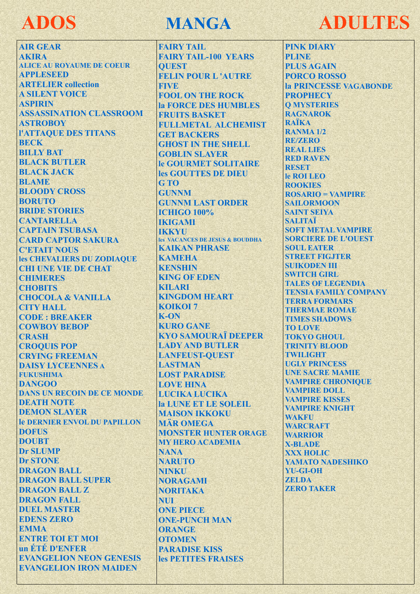## **ADOS**

**AIR GEAR AKIRA ALICE AU ROYAUME DE COEUR APPLESEED ARTELIER** collection **A SILENT VOICE ASPIRIN ASSASSINATION CLASSROOM ASTROBOY** *L'ATTAQUE DES TITANS* **BECK BILLY BAT BLACK BUTLER BLACK JACK BLAME BLOODY CROSS BORUTO BRIDE STORIES CANTARELLA CAPTAIN TSUBASA CARD CAPTOR SAKURA C'ETAIT NOUS** les CHEVALIERS DU ZODIAOUE **CHI UNE VIE DE CHAT CHIMERES CHOBITS CHOCOLA & VANILLA CITY HALL CODE: BREAKER COWBOY BEBOP CRASH CROOUIS POP CRYING FREEMAN DAISY LYCEENNES A FUKUSHIMA DANGOO DANS UN RECOIN DE CE MONDE DEATH NOTE DEMON SLAYER Je DERNIER ENVOL DU PAPILLON DOFIIS DOUBT Dr SLUMP Dr STONE DRAGON BALL DRAGON BALL SUPER DRAGON BALL Z DRAGON FALL DUEL MASTER EDENS ZERO EMMA ENTRE TOI ET MOI** un ETE D'ENFER **EVANGELION NEON GENESIS EVANGELION IRON MAIDEN** 

## **MANGA**

**FAIRY TAIL FAIRY TAIL-100 YEARS OUEST FELIN POUR L'AUTRE FIVE FOOL ON THE ROCK** la FORCE DES HUMBLES **FRUITS BASKET** FULLMETAL ALCHEMIST **GET BACKERS GHOST IN THE SHELL GOBLIN SLAYER le GOURMET SOLITAIRE** les GOUTTES DE DIEU G<sub>TO</sub> **GUNNM GUNNM LAST ORDER ICHIGO 100% IKIGAMI IKKYII** les VACANCES DE JESUS & BOUDDHA **KAIKAN PHRASE KAMEHA KENSHIN KING OF EDEN KILARI KINGDOM HEART KOIKOI 7**  $K-ON$ **KURO GANE KYO SAMOURAÏ DEEPER LADY AND BUTLER LANFEUST-OUEST LASTMAN LOST PARADISE LOVE HINA LUCIKA LUCIKA la LUNE ET LE SOLEIL MAISON IKKOKU MÄR OMEGA MONSTER HUNTER ORAGE MY HERO ACADEMIA NANA NARITO NINKU NORAGAMI NORITAKA NUI ONE PIECE ONE-PUNCH MAN ORANGE OTOMEN PARADISE KISS** les PETITES FRAISES

## **ADULTES**

**PINK DIARY PLINE PLUS AGAIN PORCO ROSSO** la PRINCESSE VAGABONDE **PROPHECY O MYSTERIES RAGNAROK RAÏKA RANMA 1/2 RE/ZERO REAL LIES RED RAVEN RESET** le ROI LEO **ROOKIES**  $ROSARIO = VAMPIRE$ **SAILORMOON SAINT SEIVA** SALITAÏ **SOFT METAL VAMPIRE SORCIERE DE L'OUEST SOUL EATER STREET FIGJTER SUIKODEN III SWITCH GIRL TALES OF LEGENDIA TENSIA FAMILY COMPANY TERRA FORMARS THERMAE ROMAE TIMES SHADOWS TO LOVE TOKYO GHOIL TRINITY BLOOD TWILIGHT UGLY PRINCESS UNE SACRE MAMIE VAMPIRE CHRONIOUE VAMPIRE DOLL VAMPIRE KISSES VAMPIRE KNIGHT WAKFU WARCRAFT WARRIOR X-BLADE XXX HOLIC YAMATO NADESHIKO YU-GI-OH ZELDA ZERO TAKER**